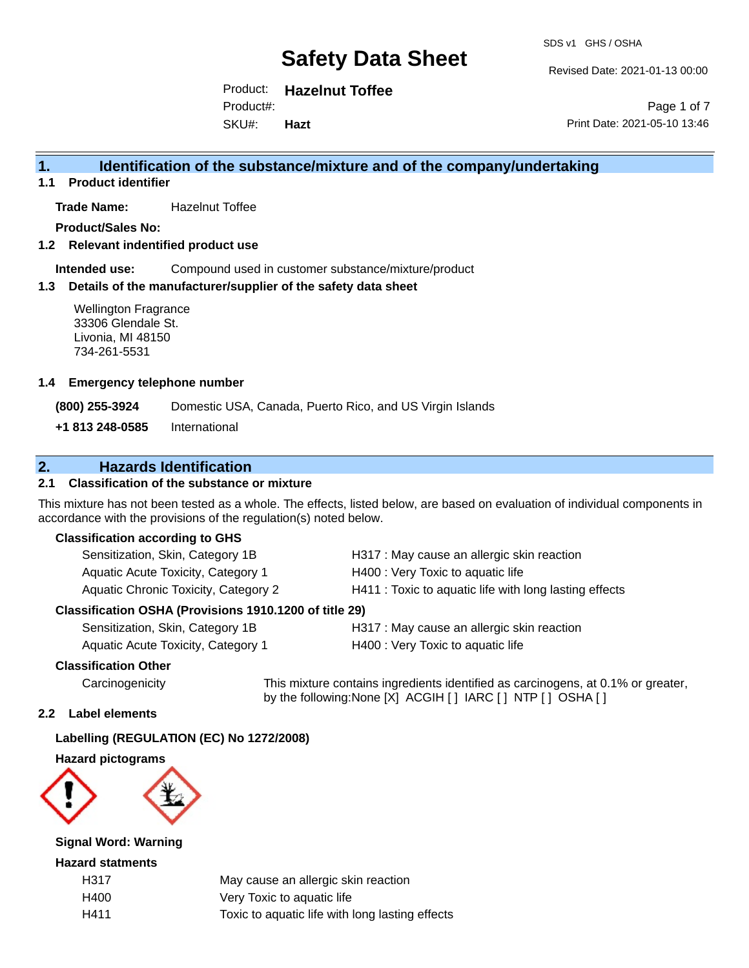Revised Date: 2021-01-13 00:00

Product: **Hazelnut Toffee** Product#:

SKU#: **Hazt**

Page 1 of 7 Print Date: 2021-05-10 13:46

## **1. Identification of the substance/mixture and of the company/undertaking**

**1.1 Product identifier**

**Trade Name:** Hazelnut Toffee

**Product/Sales No:**

**1.2 Relevant indentified product use**

**Intended use:** Compound used in customer substance/mixture/product

## **1.3 Details of the manufacturer/supplier of the safety data sheet**

Wellington Fragrance 33306 Glendale St. Livonia, MI 48150 734-261-5531

#### **1.4 Emergency telephone number**

**(800) 255-3924** Domestic USA, Canada, Puerto Rico, and US Virgin Islands

**+1 813 248-0585** International

## **2. Hazards Identification**

## **2.1 Classification of the substance or mixture**

This mixture has not been tested as a whole. The effects, listed below, are based on evaluation of individual components in accordance with the provisions of the regulation(s) noted below.

## **Classification according to GHS**

| Sensitization, Skin, Category 1B            | H317 : May cause an allergic skin reaction             |
|---------------------------------------------|--------------------------------------------------------|
| Aquatic Acute Toxicity, Category 1          | H400 : Very Toxic to aquatic life                      |
| <b>Aquatic Chronic Toxicity, Category 2</b> | H411 : Toxic to aquatic life with long lasting effects |

## **Classification OSHA (Provisions 1910.1200 of title 29)**

| Sensitization, Skin, Category 1B  |  |
|-----------------------------------|--|
| Aquatic Acute Toxicity Category 1 |  |

H317 : May cause an allergic skin reaction Aquatic Acute Toxicity, Category 1 **H400** : Very Toxic to aquatic life

## **Classification Other**

Carcinogenicity This mixture contains ingredients identified as carcinogens, at 0.1% or greater, by the following:None [X] ACGIH [ ] IARC [ ] NTP [ ] OSHA [ ]

## **2.2 Label elements**

## **Labelling (REGULATION (EC) No 1272/2008)**

#### **Hazard pictograms**



## **Signal Word: Warning**

#### **Hazard statments**

| H317 | May cause an allergic skin reaction             |
|------|-------------------------------------------------|
| H400 | Very Toxic to aquatic life                      |
| H411 | Toxic to aquatic life with long lasting effects |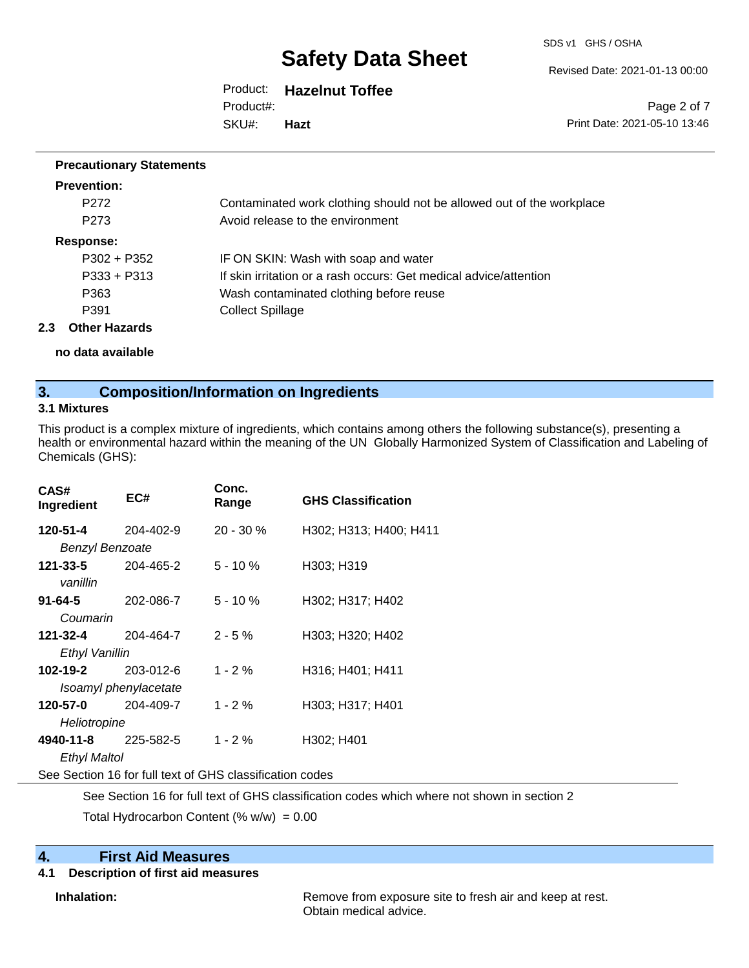SDS v1 GHS / OSHA

Revised Date: 2021-01-13 00:00

Product: **Hazelnut Toffee** SKU#: Product#: **Hazt**

Page 2 of 7 Print Date: 2021-05-10 13:46

#### **Precautionary Statements**

| <b>Prevention:</b>          |                                                                       |
|-----------------------------|-----------------------------------------------------------------------|
| P <sub>272</sub>            | Contaminated work clothing should not be allowed out of the workplace |
| P <sub>273</sub>            | Avoid release to the environment                                      |
| Response:                   |                                                                       |
| $P302 + P352$               | IF ON SKIN: Wash with soap and water                                  |
| $P333 + P313$               | If skin irritation or a rash occurs: Get medical advice/attention     |
| P363                        | Wash contaminated clothing before reuse                               |
| P391                        | <b>Collect Spillage</b>                                               |
| <b>Other Hazards</b><br>2.3 |                                                                       |

**no data available**

## **3. Composition/Information on Ingredients**

#### **3.1 Mixtures**

This product is a complex mixture of ingredients, which contains among others the following substance(s), presenting a health or environmental hazard within the meaning of the UN Globally Harmonized System of Classification and Labeling of Chemicals (GHS):

| CAS#<br>Ingredient     | EC#                                                      | Conc.<br>Range | <b>GHS Classification</b> |
|------------------------|----------------------------------------------------------|----------------|---------------------------|
| 120-51-4               | 204-402-9                                                | $20 - 30 \%$   | H302; H313; H400; H411    |
| <b>Benzyl Benzoate</b> |                                                          |                |                           |
| 121-33-5<br>vanillin   | 204-465-2                                                | $5 - 10%$      | H303; H319                |
| 91-64-5<br>Coumarin    | 202-086-7                                                | $5 - 10 \%$    | H302; H317; H402          |
| 121-32-4               | 204-464-7                                                | $2 - 5%$       | H303; H320; H402          |
| Ethyl Vanillin         |                                                          |                |                           |
| 102-19-2               | 203-012-6                                                | $1 - 2 \%$     | H316; H401; H411          |
|                        | Isoamyl phenylacetate                                    |                |                           |
| 120-57-0               | 204-409-7                                                | $1 - 2%$       | H303; H317; H401          |
| Heliotropine           |                                                          |                |                           |
| 4940-11-8              | 225-582-5                                                | $1 - 2%$       | H302; H401                |
| Ethyl Maltol           |                                                          |                |                           |
|                        | See Section 16 for full text of GHS classification codes |                |                           |

See Section 16 for full text of GHS classification codes which where not shown in section 2

Total Hydrocarbon Content (%  $w/w$ ) = 0.00

## **4. First Aid Measures**

## **4.1 Description of first aid measures**

**Inhalation:** Remove from exposure site to fresh air and keep at rest. Obtain medical advice.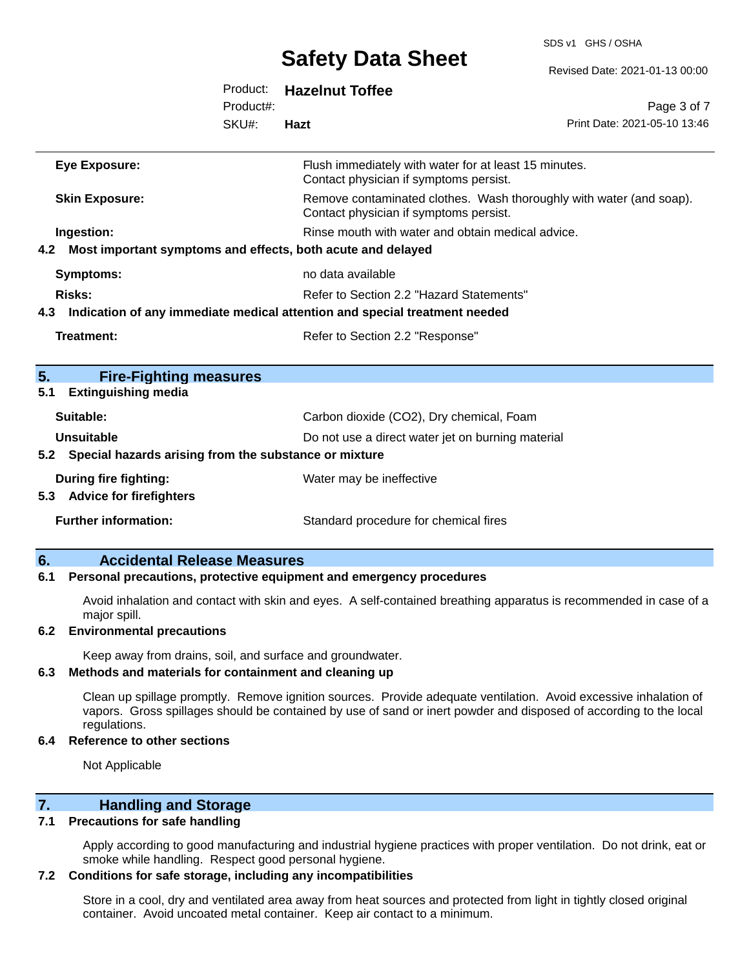## **Safety Data Shoot**

SDS v1 GHS / OSHA

|                                                                 |           | <b>PAIGLY DAIA PIIGGL</b>                                                                                     | Revised Date: 2021-01-13 00:00 |
|-----------------------------------------------------------------|-----------|---------------------------------------------------------------------------------------------------------------|--------------------------------|
|                                                                 | Product:  | <b>Hazelnut Toffee</b>                                                                                        |                                |
|                                                                 | Product#: |                                                                                                               | Page 3 of 7                    |
|                                                                 | SKU#:     | Hazt                                                                                                          | Print Date: 2021-05-10 13:46   |
| <b>Eye Exposure:</b>                                            |           | Flush immediately with water for at least 15 minutes.<br>Contact physician if symptoms persist.               |                                |
| <b>Skin Exposure:</b>                                           |           | Remove contaminated clothes. Wash thoroughly with water (and soap).<br>Contact physician if symptoms persist. |                                |
| Ingestion:                                                      |           | Rinse mouth with water and obtain medical advice.                                                             |                                |
| 4.2 Most important symptoms and effects, both acute and delayed |           |                                                                                                               |                                |
| <b>Symptoms:</b>                                                |           | no data available                                                                                             |                                |
| Risks:                                                          |           | Refer to Section 2.2 "Hazard Statements"                                                                      |                                |
|                                                                 |           | 4.3 Indication of any immediate medical attention and special treatment needed                                |                                |
| <b>Treatment:</b>                                               |           | Refer to Section 2.2 "Response"                                                                               |                                |
| 5.<br><b>Fire-Fighting measures</b>                             |           |                                                                                                               |                                |
| <b>Extinguishing media</b><br>5.1                               |           |                                                                                                               |                                |
| Suitable:                                                       |           | Carbon dioxide (CO2), Dry chemical, Foam                                                                      |                                |
| <b>Unsuitable</b>                                               |           | Do not use a direct water jet on burning material                                                             |                                |
| 5.2 Special hazards arising from the substance or mixture       |           |                                                                                                               |                                |
| <b>During fire fighting:</b>                                    |           | Water may be ineffective                                                                                      |                                |
| 5.3 Advice for firefighters                                     |           |                                                                                                               |                                |
| <b>Further information:</b>                                     |           | Standard procedure for chemical fires                                                                         |                                |
|                                                                 |           |                                                                                                               |                                |

## **6. Accidental Release Measures**

#### **6.1 Personal precautions, protective equipment and emergency procedures**

Avoid inhalation and contact with skin and eyes. A self-contained breathing apparatus is recommended in case of a major spill.

#### **6.2 Environmental precautions**

Keep away from drains, soil, and surface and groundwater.

## **6.3 Methods and materials for containment and cleaning up**

Clean up spillage promptly. Remove ignition sources. Provide adequate ventilation. Avoid excessive inhalation of vapors. Gross spillages should be contained by use of sand or inert powder and disposed of according to the local regulations.

#### **6.4 Reference to other sections**

Not Applicable

## **7. Handling and Storage**

#### **7.1 Precautions for safe handling**

Apply according to good manufacturing and industrial hygiene practices with proper ventilation. Do not drink, eat or smoke while handling. Respect good personal hygiene.

#### **7.2 Conditions for safe storage, including any incompatibilities**

Store in a cool, dry and ventilated area away from heat sources and protected from light in tightly closed original container. Avoid uncoated metal container. Keep air contact to a minimum.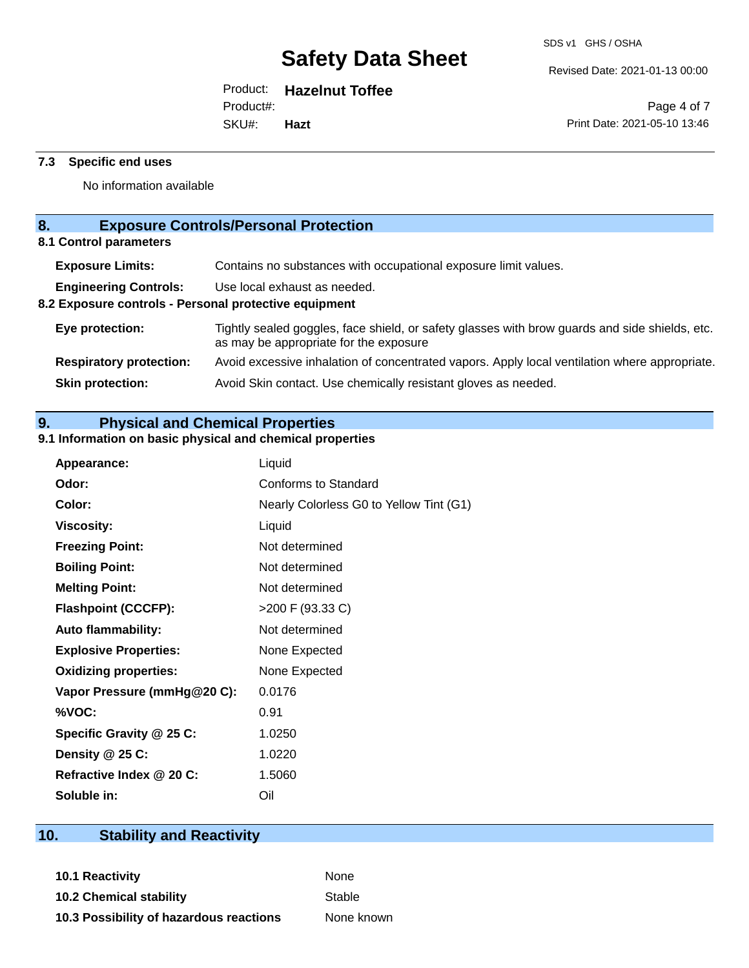Revised Date: 2021-01-13 00:00

## Product: **Hazelnut Toffee**

Product#:

SKU#: **Hazt**

Page 4 of 7 Print Date: 2021-05-10 13:46

## **7.3 Specific end uses**

No information available

## **8. Exposure Controls/Personal Protection**

**8.1 Control parameters**

| <b>Exposure Limits:</b>                               | Contains no substances with occupational exposure limit values.                                                                          |  |
|-------------------------------------------------------|------------------------------------------------------------------------------------------------------------------------------------------|--|
| <b>Engineering Controls:</b>                          | Use local exhaust as needed.                                                                                                             |  |
| 8.2 Exposure controls - Personal protective equipment |                                                                                                                                          |  |
| Eye protection:                                       | Tightly sealed goggles, face shield, or safety glasses with brow guards and side shields, etc.<br>as may be appropriate for the exposure |  |
| <b>Respiratory protection:</b>                        | Avoid excessive inhalation of concentrated vapors. Apply local ventilation where appropriate.                                            |  |
| <b>Skin protection:</b>                               | Avoid Skin contact. Use chemically resistant gloves as needed.                                                                           |  |
|                                                       |                                                                                                                                          |  |

## **9. Physical and Chemical Properties**

## **9.1 Information on basic physical and chemical properties**

| Appearance:                  | Liquid                                  |
|------------------------------|-----------------------------------------|
| Odor:                        | Conforms to Standard                    |
| Color:                       | Nearly Colorless G0 to Yellow Tint (G1) |
| <b>Viscosity:</b>            | Liquid                                  |
| <b>Freezing Point:</b>       | Not determined                          |
| <b>Boiling Point:</b>        | Not determined                          |
| <b>Melting Point:</b>        | Not determined                          |
| <b>Flashpoint (CCCFP):</b>   | >200 F (93.33 C)                        |
| <b>Auto flammability:</b>    | Not determined                          |
| <b>Explosive Properties:</b> | None Expected                           |
| <b>Oxidizing properties:</b> | None Expected                           |
| Vapor Pressure (mmHg@20 C):  | 0.0176                                  |
| %VOC:                        | 0.91                                    |
| Specific Gravity @ 25 C:     | 1.0250                                  |
| Density @ 25 C:              | 1.0220                                  |
| Refractive Index @ 20 C:     | 1.5060                                  |
| Soluble in:                  | Oil                                     |

## **10. Stability and Reactivity**

**10.1 Reactivity** None **10.2 Chemical stability** Stable **10.3 Possibility of hazardous reactions** None known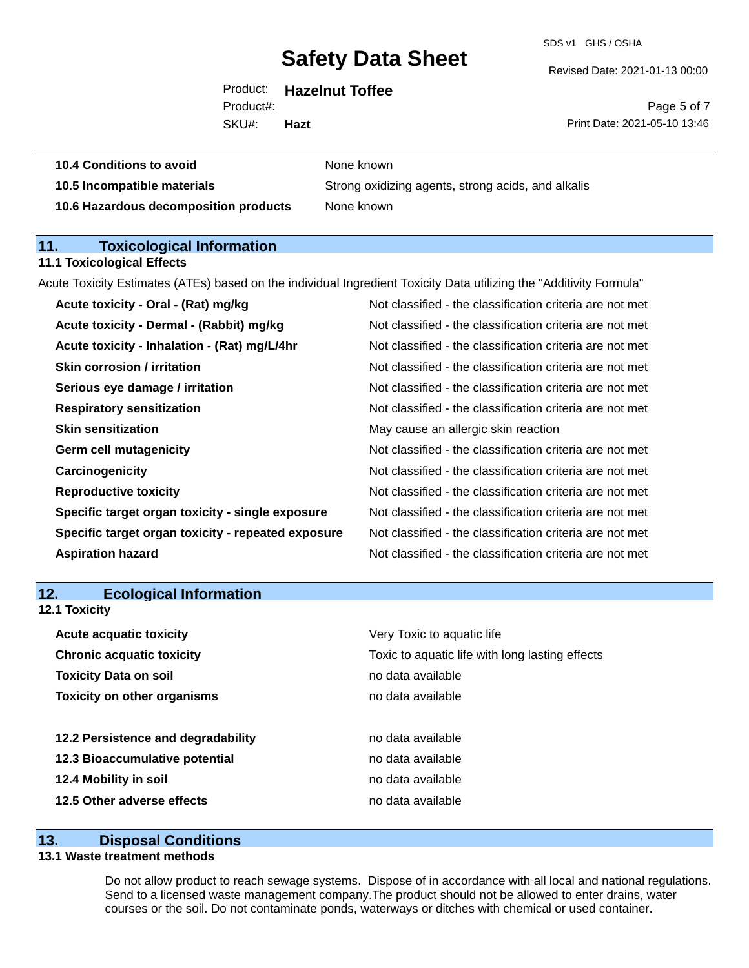SDS v1 GHS / OSHA

Revised Date: 2021-01-13 00:00

| <b>Hazelnut Toffee</b> |
|------------------------|
|                        |

Product#:

Page 5 of 7 Print Date: 2021-05-10 13:46

SKU#: **Hazt**

| 10.4 Conditions to avoid | None known |
|--------------------------|------------|
|                          |            |

**10.5 Incompatible materials** Strong oxidizing agents, strong acids, and alkalis **10.6 Hazardous decomposition products** None known

## **11. Toxicological Information**

## **11.1 Toxicological Effects**

Acute Toxicity Estimates (ATEs) based on the individual Ingredient Toxicity Data utilizing the "Additivity Formula"

| Acute toxicity - Oral - (Rat) mg/kg                | Not classified - the classification criteria are not met |
|----------------------------------------------------|----------------------------------------------------------|
| Acute toxicity - Dermal - (Rabbit) mg/kg           | Not classified - the classification criteria are not met |
| Acute toxicity - Inhalation - (Rat) mg/L/4hr       | Not classified - the classification criteria are not met |
| <b>Skin corrosion / irritation</b>                 | Not classified - the classification criteria are not met |
| Serious eye damage / irritation                    | Not classified - the classification criteria are not met |
| <b>Respiratory sensitization</b>                   | Not classified - the classification criteria are not met |
| <b>Skin sensitization</b>                          | May cause an allergic skin reaction                      |
| <b>Germ cell mutagenicity</b>                      | Not classified - the classification criteria are not met |
| Carcinogenicity                                    | Not classified - the classification criteria are not met |
| <b>Reproductive toxicity</b>                       | Not classified - the classification criteria are not met |
| Specific target organ toxicity - single exposure   | Not classified - the classification criteria are not met |
| Specific target organ toxicity - repeated exposure | Not classified - the classification criteria are not met |
| <b>Aspiration hazard</b>                           | Not classified - the classification criteria are not met |
|                                                    |                                                          |

## **12. Ecological Information**

**12.1 Toxicity**

| <b>Acute acquatic toxicity</b>     | Very Toxic to aquatic life                      |
|------------------------------------|-------------------------------------------------|
| <b>Chronic acquatic toxicity</b>   | Toxic to aquatic life with long lasting effects |
| <b>Toxicity Data on soil</b>       | no data available                               |
| <b>Toxicity on other organisms</b> | no data available                               |
|                                    |                                                 |
| 12.2 Persistence and degradability | no data available                               |
| 12.3 Bioaccumulative potential     | no data available                               |
| 12.4 Mobility in soil              | no data available                               |
| 12.5 Other adverse effects         | no data available                               |

## **13. Disposal Conditions**

## **13.1 Waste treatment methods**

Do not allow product to reach sewage systems. Dispose of in accordance with all local and national regulations. Send to a licensed waste management company.The product should not be allowed to enter drains, water courses or the soil. Do not contaminate ponds, waterways or ditches with chemical or used container.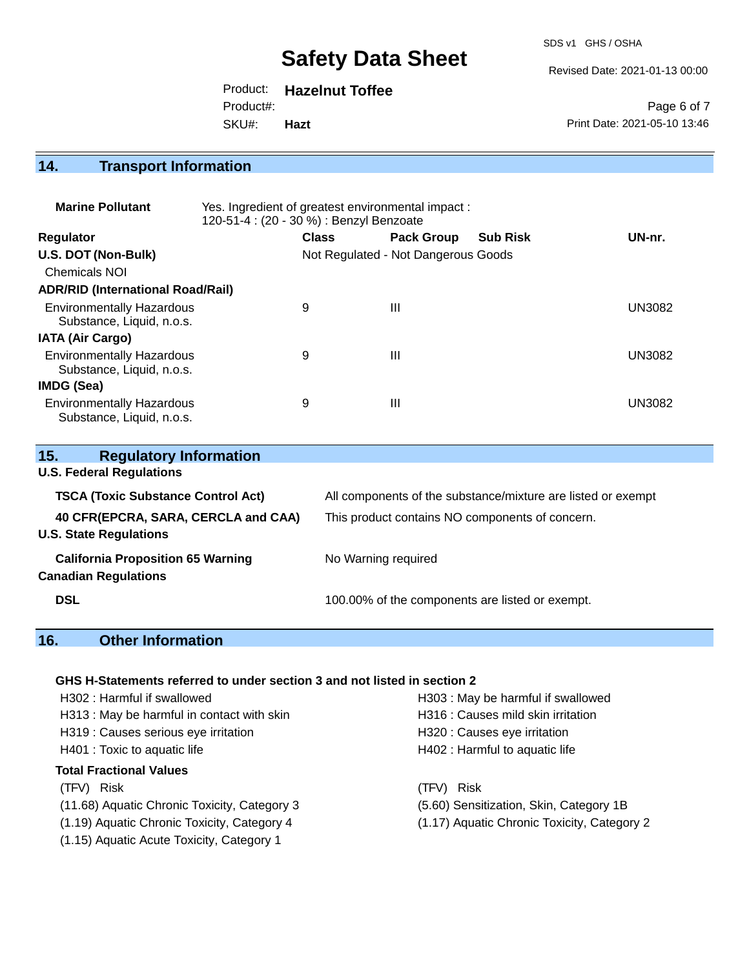SDS v1 GHS / OSHA

Revised Date: 2021-01-13 00:00

Product: **Hazelnut Toffee** Product#:

SKU#: **Hazt**

Page 6 of 7 Print Date: 2021-05-10 13:46

## **14. Transport Information**

| <b>Marine Pollutant</b>                                       | Yes. Ingredient of greatest environmental impact:<br>120-51-4 : (20 - 30 %) : Benzyl Benzoate |              |                                     |                 |               |
|---------------------------------------------------------------|-----------------------------------------------------------------------------------------------|--------------|-------------------------------------|-----------------|---------------|
| <b>Regulator</b>                                              |                                                                                               | <b>Class</b> | <b>Pack Group</b>                   | <b>Sub Risk</b> | UN-nr.        |
| U.S. DOT (Non-Bulk)                                           |                                                                                               |              | Not Regulated - Not Dangerous Goods |                 |               |
| <b>Chemicals NOI</b>                                          |                                                                                               |              |                                     |                 |               |
| <b>ADR/RID (International Road/Rail)</b>                      |                                                                                               |              |                                     |                 |               |
| <b>Environmentally Hazardous</b><br>Substance, Liquid, n.o.s. |                                                                                               | 9            | Ш                                   |                 | <b>UN3082</b> |
| <b>IATA (Air Cargo)</b>                                       |                                                                                               |              |                                     |                 |               |
| <b>Environmentally Hazardous</b><br>Substance, Liquid, n.o.s. |                                                                                               | 9            | Ш                                   |                 | <b>UN3082</b> |
| <b>IMDG (Sea)</b>                                             |                                                                                               |              |                                     |                 |               |
| <b>Environmentally Hazardous</b><br>Substance, Liquid, n.o.s. |                                                                                               | 9            | Ш                                   |                 | UN3082        |

| 15.<br><b>Regulatory Information</b><br><b>U.S. Federal Regulations</b> |                                                              |  |  |
|-------------------------------------------------------------------------|--------------------------------------------------------------|--|--|
| <b>TSCA (Toxic Substance Control Act)</b>                               | All components of the substance/mixture are listed or exempt |  |  |
| 40 CFR(EPCRA, SARA, CERCLA and CAA)<br><b>U.S. State Regulations</b>    | This product contains NO components of concern.              |  |  |
| <b>California Proposition 65 Warning</b><br><b>Canadian Regulations</b> | No Warning required                                          |  |  |
| <b>DSL</b>                                                              | 100.00% of the components are listed or exempt.              |  |  |

## **16. Other Information**

## **GHS H-Statements referred to under section 3 and not listed in section 2**

| H302: Harmful if swallowed                   | H303 : May be harmful if swallowed          |  |  |
|----------------------------------------------|---------------------------------------------|--|--|
| H313: May be harmful in contact with skin    | H316 : Causes mild skin irritation          |  |  |
| H319 : Causes serious eye irritation         | H320 : Causes eye irritation                |  |  |
| H401 : Toxic to aquatic life                 | H402 : Harmful to aquatic life              |  |  |
| <b>Total Fractional Values</b>               |                                             |  |  |
| (TFV) Risk                                   | <b>Risk</b><br>(TFV)                        |  |  |
| (11.68) Aquatic Chronic Toxicity, Category 3 | (5.60) Sensitization, Skin, Category 1B     |  |  |
| (1.19) Aquatic Chronic Toxicity, Category 4  | (1.17) Aquatic Chronic Toxicity, Category 2 |  |  |
|                                              |                                             |  |  |

(1.15) Aquatic Acute Toxicity, Category 1